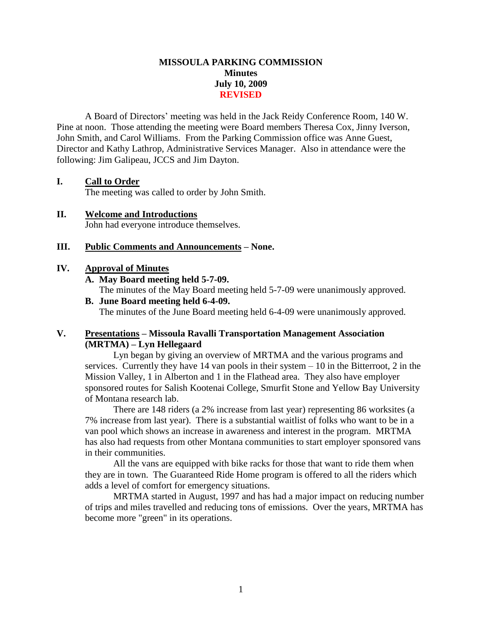## **MISSOULA PARKING COMMISSION Minutes July 10, 2009 REVISED**

A Board of Directors' meeting was held in the Jack Reidy Conference Room, 140 W. Pine at noon. Those attending the meeting were Board members Theresa Cox, Jinny Iverson, John Smith, and Carol Williams. From the Parking Commission office was Anne Guest, Director and Kathy Lathrop, Administrative Services Manager. Also in attendance were the following: Jim Galipeau, JCCS and Jim Dayton.

## **I. Call to Order**

The meeting was called to order by John Smith.

**II. Welcome and Introductions** John had everyone introduce themselves.

### **III. Public Comments and Announcements – None.**

#### **IV. Approval of Minutes**

**A. May Board meeting held 5-7-09.**

The minutes of the May Board meeting held 5-7-09 were unanimously approved.

**B. June Board meeting held 6-4-09.** The minutes of the June Board meeting held 6-4-09 were unanimously approved.

## **V. Presentations – Missoula Ravalli Transportation Management Association (MRTMA) – Lyn Hellegaard**

Lyn began by giving an overview of MRTMA and the various programs and services. Currently they have 14 van pools in their system – 10 in the Bitterroot, 2 in the Mission Valley, 1 in Alberton and 1 in the Flathead area. They also have employer sponsored routes for Salish Kootenai College, Smurfit Stone and Yellow Bay University of Montana research lab.

There are 148 riders (a 2% increase from last year) representing 86 worksites (a 7% increase from last year). There is a substantial waitlist of folks who want to be in a van pool which shows an increase in awareness and interest in the program. MRTMA has also had requests from other Montana communities to start employer sponsored vans in their communities.

All the vans are equipped with bike racks for those that want to ride them when they are in town. The Guaranteed Ride Home program is offered to all the riders which adds a level of comfort for emergency situations.

MRTMA started in August, 1997 and has had a major impact on reducing number of trips and miles travelled and reducing tons of emissions. Over the years, MRTMA has become more "green" in its operations.